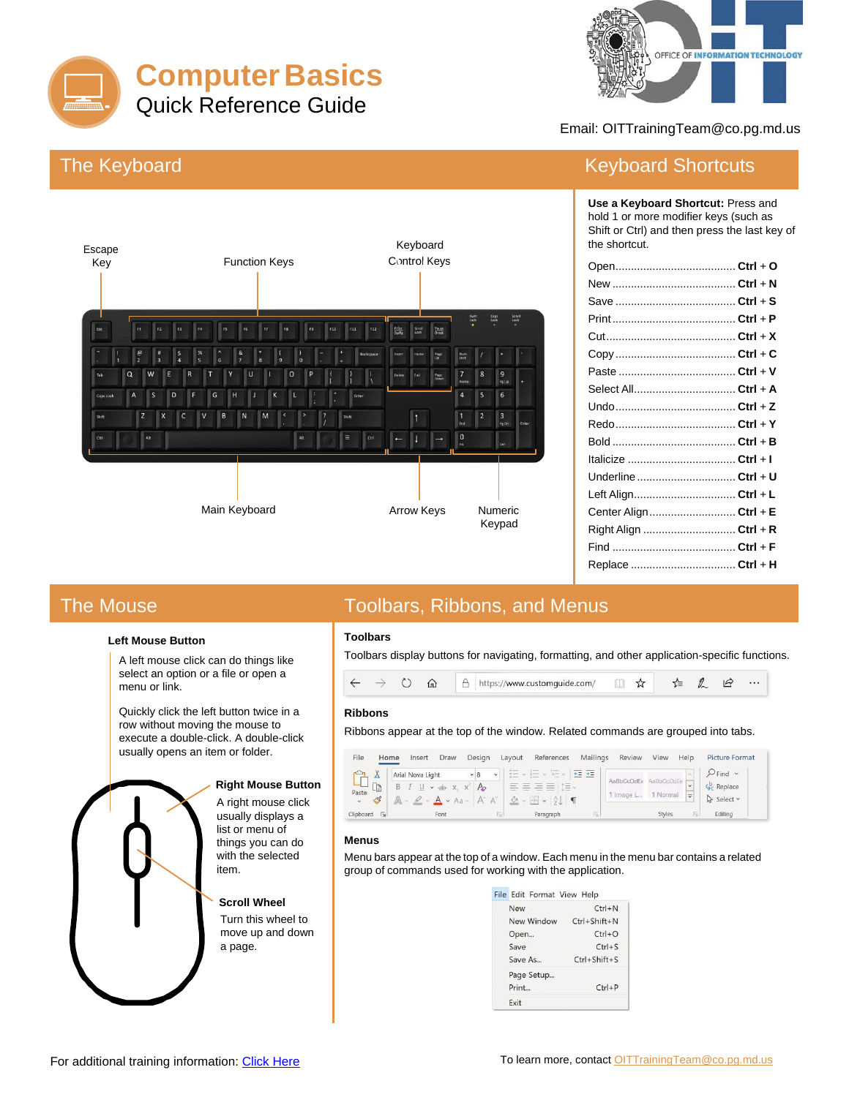



Email: OITTrainingTeam@co.pg.md.us

# **The Keyboard**



### **Keyboard Shortcuts**

Use a Keyboard Shortcut: Press and hold 1 or more modifier keys (such as Shift or Ctrl) and then press the last key of the shortcut.

| Underline  Ctrl + U   |  |
|-----------------------|--|
| Left Align Ctrl + L   |  |
| Center Align Ctrl + E |  |
| Right Align  Ctrl + R |  |
|                       |  |
| Replace  Ctrl + H     |  |

## **The Mouse**

#### **Left Mouse Button**

A left mouse click can do things like select an option or a file or open a menu or link.

Quickly click the left button twice in a row without moving the mouse to execute a double-click. A double-click usually opens an item or folder.

#### **Right Mouse Button**

A right mouse click usually displays a list or menu of things you can do with the selected item.

#### **Scroll Wheel**

Turn this wheel to move up and down a page.

## **Toolbars, Ribbons, and Menus**

### **Toolbars**

Toolbars display buttons for navigating, formatting, and other application-specific functions.



#### **Ribbons**

Ribbons appear at the top of the window. Related commands are grouped into tabs.

| File<br>Home                                   | Desian<br>Draw<br>Insert                                                                               | Lavout               | References                                                                                                                                                     |                     | Mailings Review View |                        | Help                    | <b>Picture Format</b>                                                |
|------------------------------------------------|--------------------------------------------------------------------------------------------------------|----------------------|----------------------------------------------------------------------------------------------------------------------------------------------------------------|---------------------|----------------------|------------------------|-------------------------|----------------------------------------------------------------------|
| $\Lambda$<br>$\mathbb{E}$<br>Paste<br>$\sim$ 8 | Arial Nova Light $\sim 8$<br>$B \perp \sqcup \sim ab \times, x^2 \downarrow b$<br>$A - 2 - A - A - A'$ | $\ddot{\phantom{0}}$ | $\frac{1}{2}$ $\frac{1}{2}$ $\frac{1}{2}$ $\frac{1}{2}$ $\frac{1}{2}$ $\frac{1}{2}$ $\frac{1}{2}$ $\frac{1}{2}$<br>$\frac{A}{2}$ v $\frac{A}{2}$ $\frac{A}{2}$ | $+ \equiv + \equiv$ | 1 Image L            | AaBbCcDdEe<br>I Normal | $\overline{\mathbf{v}}$ | $Q$ Find $\sim$<br>$\zeta_c^b$ Replace<br>$\mathbb{R}$ Select $\sim$ |
| Clipboard<br>$\overline{N}$                    | Font                                                                                                   | $\overline{151}$     | Paragraph                                                                                                                                                      | $\sim$              |                      | <b>Styles</b>          | 辰                       | Editina                                                              |

#### **Menus**

Menu bars appear at the top of a window. Each menu in the menu bar contains a related group of commands used for working with the application.

| File Edit Format View Help |                    |  |  |  |  |
|----------------------------|--------------------|--|--|--|--|
| New                        | $Ctrl + N$         |  |  |  |  |
| New Window                 | $Ctrl + Shift + N$ |  |  |  |  |
| Open                       | $Ctrl + O$         |  |  |  |  |
| Save                       | $Ctrl + S$         |  |  |  |  |
| Save As                    | $Ctrl + Shift + S$ |  |  |  |  |
| Page Setup                 |                    |  |  |  |  |
| Print                      | $Ctrl + P$         |  |  |  |  |
| Exit                       |                    |  |  |  |  |